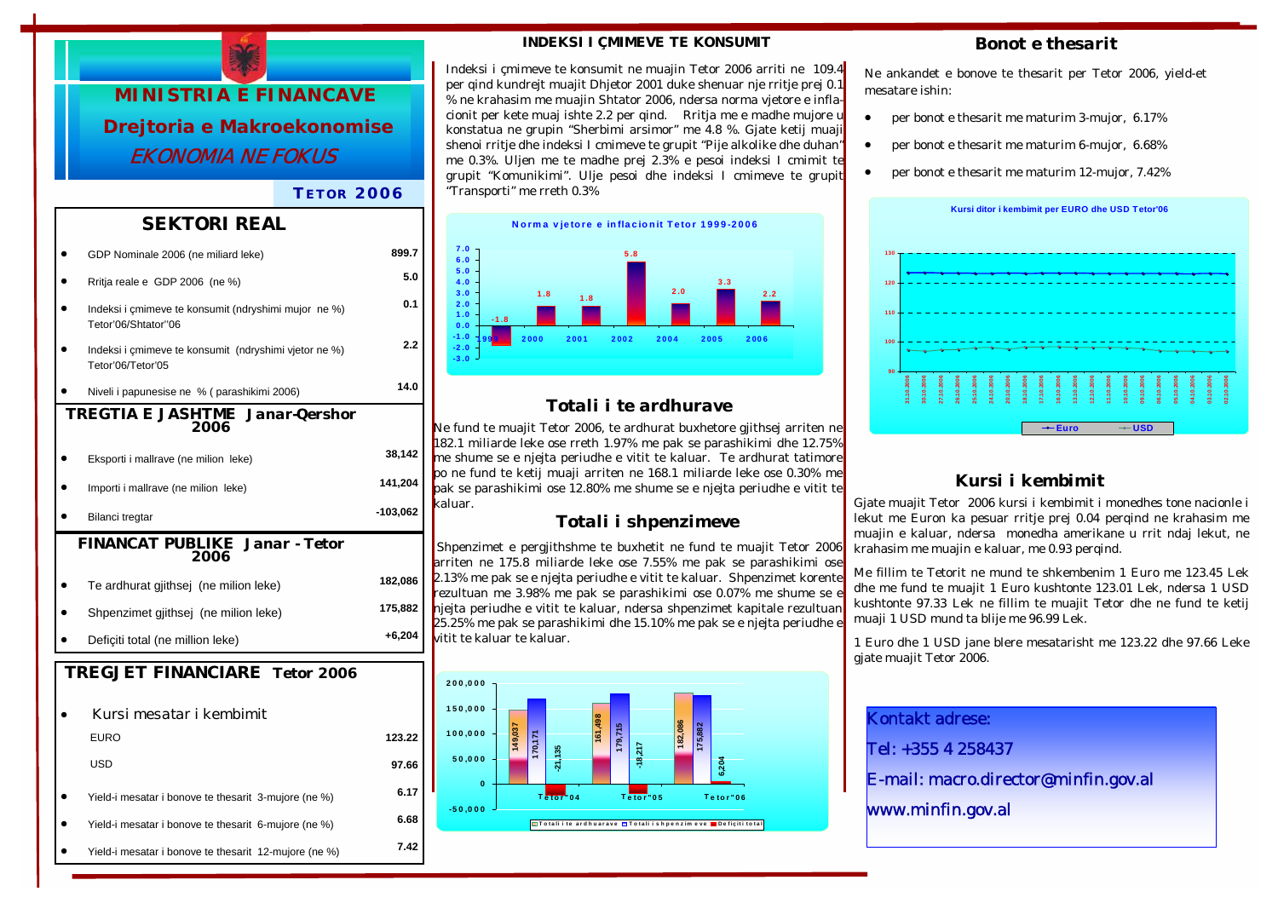

### *T ETOR 2006*

### *SEKTORI REAL*

|                                                      | GDP Nominale 2006 (ne miliard leke)                                         | 899.7      |  |  |
|------------------------------------------------------|-----------------------------------------------------------------------------|------------|--|--|
|                                                      | Rritja reale e GDP 2006 (ne %)                                              | 5.0        |  |  |
|                                                      | Indeksi i çmimeve te konsumit (ndryshimi mujor ne %)<br>Tetor'06/Shtator"06 | 0.1        |  |  |
|                                                      | Indeksi i çmimeve te konsumit (ndryshimi vjetor ne %)<br>Tetor'06/Tetor'05  | 2.2        |  |  |
|                                                      | Niveli i papunesise ne % (parashikimi 2006)                                 | 14.0       |  |  |
| <b>TREGTIA E JASHTME Janar-Qershor</b><br>2006       |                                                                             |            |  |  |
|                                                      | Eksporti i mallrave (ne milion leke)                                        | 38,142     |  |  |
|                                                      | Importi i mallrave (ne milion leke)                                         | 141,204    |  |  |
|                                                      | Bilanci tregtar                                                             | $-103,062$ |  |  |
| <b>FINANCAT PUBLIKE Janar - Tetor</b><br><i>2006</i> |                                                                             |            |  |  |
|                                                      | Te ardhurat gjithsej (ne milion leke)                                       | 182,086    |  |  |
|                                                      | Shpenzimet gjithsej (ne milion leke)                                        | 175,882    |  |  |
|                                                      | Deficiti total (ne million leke)                                            | $+6,204$   |  |  |
| <b>TREGJET FINANCIARE Tetor 2006</b>                 |                                                                             |            |  |  |
|                                                      | Kursi mesatar i kembimit                                                    |            |  |  |
|                                                      | <b>EURO</b>                                                                 | 123.22     |  |  |
|                                                      | USD                                                                         | 97.66      |  |  |
|                                                      | Yield-i mesatar i bonove te thesarit 3-mujore (ne %)                        | 6.17       |  |  |
|                                                      | Yield-i mesatar i bonove te thesarit 6-mujore (ne %)                        | 6.68       |  |  |
|                                                      |                                                                             |            |  |  |

• Yield-i mesatar i bonove te thesarit 12-mujore (ne %) **7.42** 

#### *INDEKSI I ÇMIMEVE TE KONSUMIT*

Indeksi i çmimeve te konsumit ne muajin Tetor 2006 arriti ne 109.4 per qind kundrejt muajit Dhjetor 2001 duke shenuar nje rritje prej 0.1 % ne krahasim me muajin Shtator 2006, ndersa norma vjetore e inflacionit per kete muaj ishte 2.2 per qind. Rritja me e madhe mujore u konstatua ne grupin "Sherbimi arsimor" me 4.8 %. Gjate ketij muaji shenoi rritje dhe indeksi I cmimeve te grupit "Pije alkolike dhe duhan" me 0.3%. Uljen me te madhe prej 2.3% e pesoi indeksi I cmimit te grupit "Komunikimi". Ulje pesoi dhe indeksi I cmimeve te grupit "Transporti" me rreth 0.3%



### *Totali i te ardhurave*

Ne fund te muajit Tetor 2006, te ardhurat buxhetore gjithsej arriten ne 182.1 miliarde leke ose rreth 1.97% me pak se parashikimi dhe 12.75% me shume se e njejta periudhe e vitit te kaluar. Te ardhurat tatimore po ne fund te ketij muaji arriten ne 168.1 miliarde leke ose 0.30% me pak se parashikimi ose 12.80% me shume se e njejta periudhe e vitit te kaluar.

### *Totali i shpenzimeve*

 Shpenzimet e pergjithshme te buxhetit ne fund te muajit Tetor 2006 arriten ne 175.8 miliarde leke ose 7.55% me pak se parashikimi ose 2.13% me pak se e njejta periudhe e vitit te kaluar. Shpenzimet korente rezultuan me 3.98% me pak se parashikimi ose 0.07% me shume se njejta periudhe e vitit te kaluar, ndersa shpenzimet kapitale rezultuan  $25.25\%$  me pak se parashikimi dhe 15.10% me pak se e njejta periudhe vitit te kaluar te kaluar.



### *Bonot e thesarit*

Ne ankandet e bonove te thesarit per Tetor 2006, yield-et mesatare ishin:

- per bonot e thesarit me maturim 3-mujor, 6.17%
- per bonot e thesarit me maturim 6-mujor, 6.68%
- per bonot e thesarit me maturim 12-mujor, 7.42%



### *Kursi i kembimit*

Gjate muajit Tetor 2006 kursi i kembimit i monedhes tone nacionle i lekut me Euron ka pesuar rritje prej 0.04 perqind ne krahasim me muajin e kaluar, ndersa monedha amerikane u rrit ndaj lekut, ne krahasim me muajin e kaluar, me 0.93 perqind.

Me fillim te Tetorit ne mund te shkembenim 1 Euro me 123.45 Lek dhe me fund te muajit 1 Euro kushtonte 123.01 Lek, ndersa 1 USD kushtonte 97.33 Lek ne fillim te muajit Tetor dhe ne fund te ketij muaji 1 USD mund ta blije me 96.99 Lek.

1 Euro dhe 1 USD jane blere mesatarisht me 123.22 dhe 97.66 Leke gjate muajit Tetor 2006.

Kontakt adrese: Tel: +355 4 258437 E-mail: macro.director@minfin.gov.al

## www.minfin.gov.al